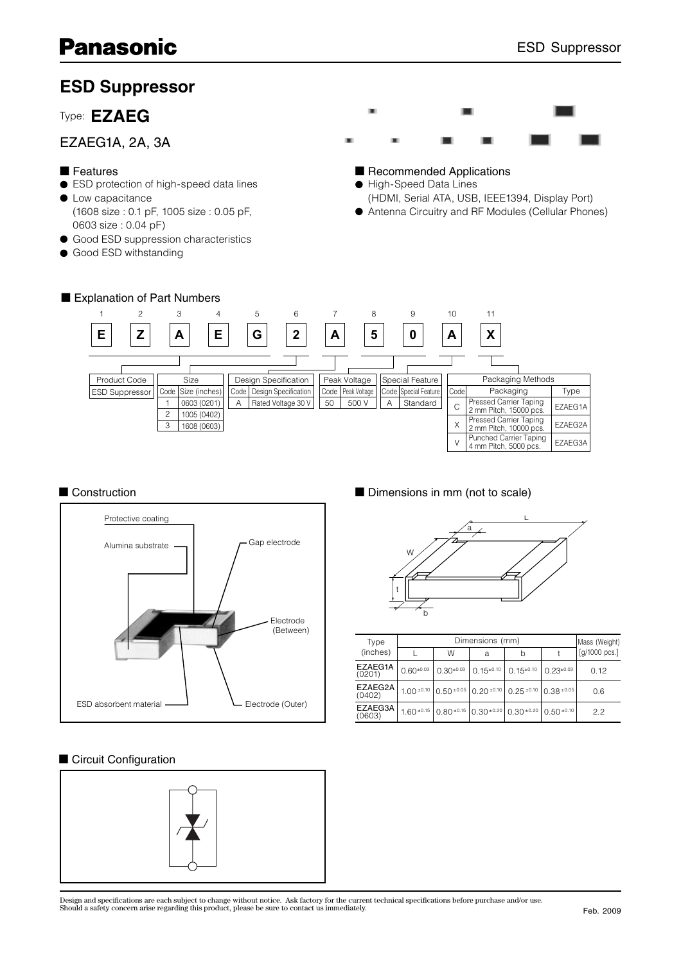# **ESD Suppressor**

# Type: **EZAEG**

## EZAEG1A, 2A, 3A

#### ■ Features

- ESD protection of high-speed data lines
- Low capacitance (1608 size : 0.1 pF, 1005 size : 0.05 pF, 0603 size : 0.04 pF)
- Good ESD suppression characteristics
- Good ESD withstanding



### ■ Recommended Applications

- High-Speed Data Lines
- (HDMI, Serial ATA, USB, IEEE1394, Display Port)
- Antenna Circuitry and RF Modules (Cellular Phones)





#### ■ Circuit Configuration



#### ■ Construction ■ Dimensions in mm (not to scale)



| Type              |                |                   | Dimensions (mm)                    |                                                                                         |                 | Mass (Weight) |
|-------------------|----------------|-------------------|------------------------------------|-----------------------------------------------------------------------------------------|-----------------|---------------|
| (inches)          |                | W                 | а                                  | h                                                                                       |                 | [g/1000 pcs.] |
| EZAEG1A<br>(0201) | $0.60^{+0.03}$ | $0.30^{\pm 0.03}$ | $0.15^{\pm0.10}$ 0.15 $^{\pm0.10}$ |                                                                                         | $0.23 \pm 0.03$ | 0.12          |
| EZAEG2A<br>(0402) |                |                   |                                    | 1.00 $\pm$ 0.10 0.50 $\pm$ 0.05 0.20 $\pm$ 0.10 0.25 $\pm$ 0.10 0.38 $\pm$ 0.05         |                 | 0.6           |
| EZAEG3A<br>(0603) |                |                   |                                    | $1.60 \pm 0.15$   0.80 $\pm 0.15$   0.30 $\pm 0.20$   0.30 $\pm 0.20$   0.50 $\pm 0.10$ |                 | 2.2           |

Design and specifications are each subject to change without notice. Ask factory for the current technical specifications before purchase and/or use.<br>Should a safety concern arise regarding this product, please be sure to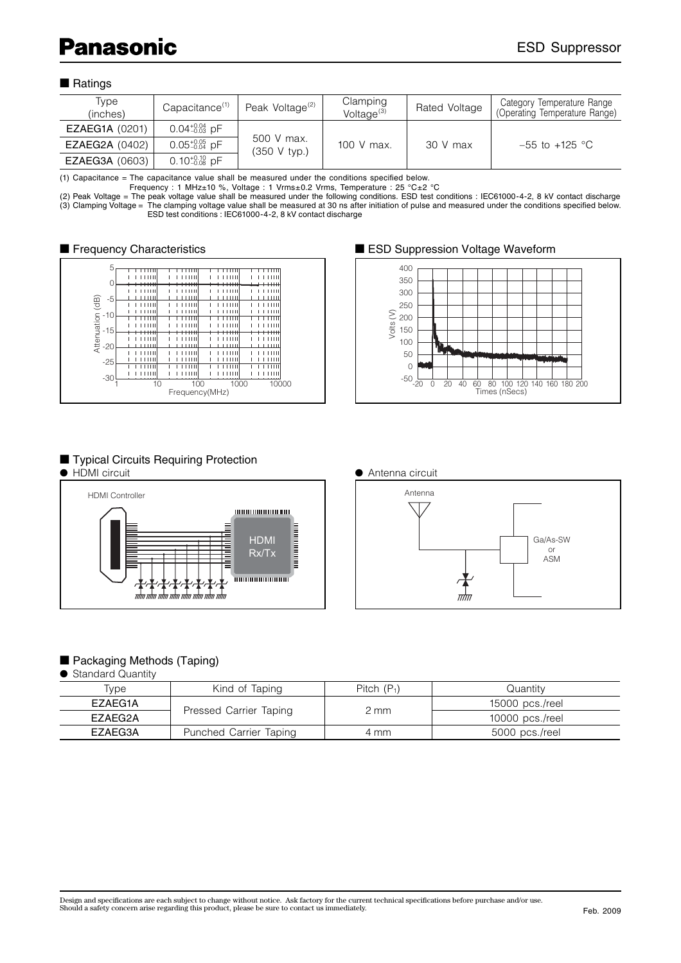#### ■ Ratings

| Type<br>(inches)      | Capacitance <sup>(1)</sup> | Peak Voltage <sup>(2)</sup> | Clamping<br>Voltage $^{(3)}$ | Rated Voltage | Category Temperature Range<br>(Operating Temperature Range) |
|-----------------------|----------------------------|-----------------------------|------------------------------|---------------|-------------------------------------------------------------|
| <b>EZAEG1A (0201)</b> | $0.04_{-0.03}^{+0.04}$ pF  |                             |                              |               |                                                             |
| <b>EZAEG2A (0402)</b> | $0.05_{-0.04}^{+0.05}$ pF  | 500 V max.<br>(350 V tvp.)  | 100 V max.                   | $30V$ max     | $-55$ to $+125$ °C                                          |
| <b>EZAEG3A (0603)</b> | $0.10^{+0.10}_{-0.08}$ pF  |                             |                              |               |                                                             |

(1) Capacitance = The capacitance value shall be measured under the conditions specified below.

Frequency : 1 MHz±10 %, Voltage : 1 Vrms±0.2 Vrms, Temperature : 25 °C±2 °C

(2) Peak Voltage = The peak voltage value shall be measured under the following conditions. ESD test conditions : IEC61000-4-2, 8 kV contact discharge (3) Clamping Voltage = The clamping voltage value shall be measured at 30 ns after initiation of pulse and measured under the conditions specified below. ESD test conditions : IEC61000-4-2, 8 kV contact discharge



#### ■ Frequency Characteristics <br>■ ESD Suppression Voltage Waveform



# ■ Typical Circuits Requiring Protection<br>● HDMI circuit





# Antenna ● Antenna circuit



#### ■ Packaging Methods (Taping)

#### ● Standard Quantity

| Tvpe    | Kind of Taping         | Pitch $(P_1)$ | Quantitv          |
|---------|------------------------|---------------|-------------------|
| EZAEG1A |                        |               | 15000 pcs./reel   |
| EZAEG2A | Pressed Carrier Taping | 2 mm          | 10000 $pcs./reel$ |
| EZAEG3A | Punched Carrier Taping | 4 mm          | 5000 pcs./reel    |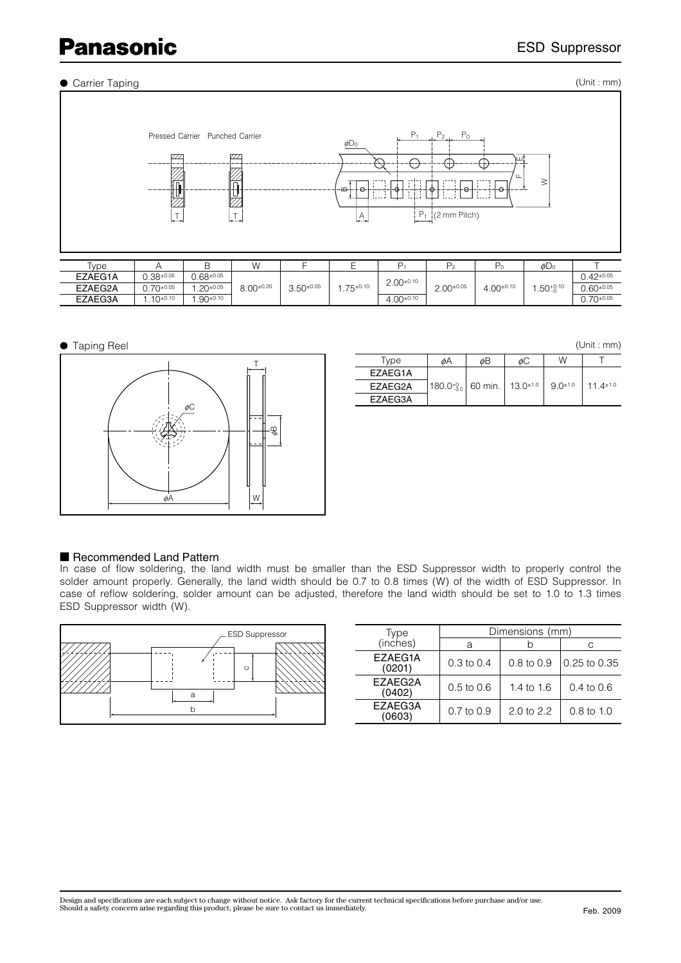# **Panasonic**

#### ● Carrier Taping

(Unit : mm)



● Taping Reel



|         |                                                                       |    |    |                 | (Unit : mm)    |
|---------|-----------------------------------------------------------------------|----|----|-----------------|----------------|
| Type    | øΑ                                                                    | øΒ | øС | W               |                |
| EZAEG1A |                                                                       |    |    |                 |                |
| EZAEG2A | $ 180.0^{+0.0}_{-3.0} $ 60 min.   13.0 <sup><math>\pm</math>1.0</sup> |    |    | $9.0^{\pm 1.0}$ | $11.4 \pm 1.0$ |
| EZAEG3A |                                                                       |    |    |                 |                |

#### ■ Recommended Land Pattern

In case of flow soldering, the land width must be smaller than the ESD Suppressor width to properly control the solder amount properly. Generally, the land width should be 0.7 to 0.8 times (W) of the width of ESD Suppressor. In case of reflow soldering, solder amount can be adjusted, therefore the land width should be set to 1.0 to 1.3 times ESD Suppressor width (W).

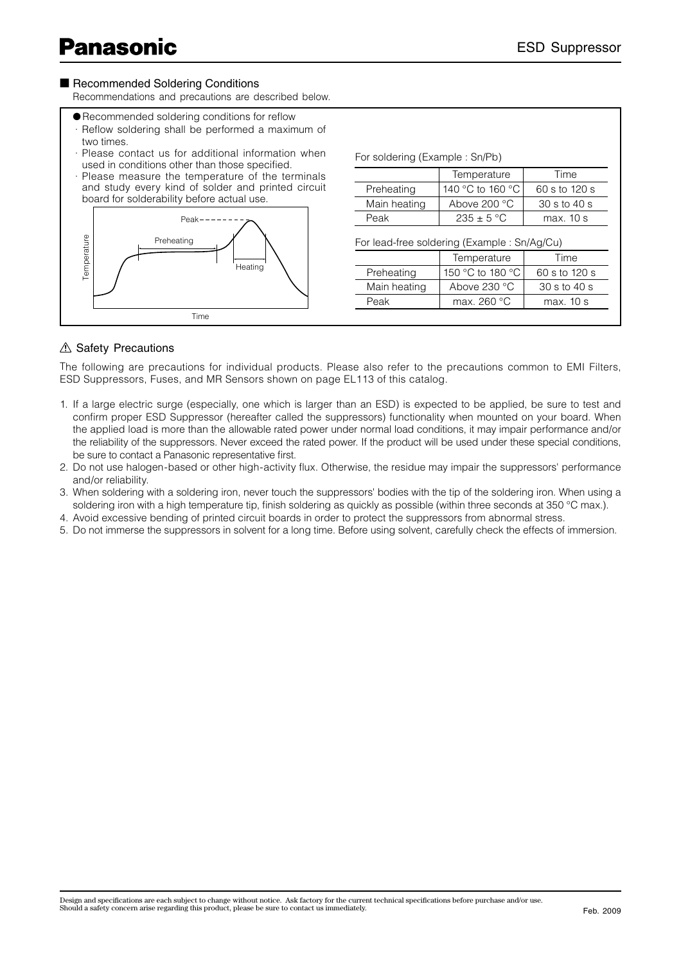#### ■ Recommended Soldering Conditions

Recommendations and precautions are described below.

- Recommended soldering conditions for reflow
- · Reflow soldering shall be performed a maximum of two times.
- · Please contact us for additional information when used in conditions other than those specified.
- · Please measure the temperature of the terminals and study every kind of solder and printed circuit board for solderability before actual use.



|              | Temperature                                 | Time                                              |
|--------------|---------------------------------------------|---------------------------------------------------|
| Preheating   | 140 °C to 160 °C                            | 60 s to 120 s                                     |
| Main heating | Above $200 °C$                              | $30 \mathrm{s}$ to $40 \mathrm{s}$                |
| Peak         | $235 \pm 5$ °C                              | max. 10 s                                         |
|              |                                             |                                                   |
|              | For lead-free soldering (Example: Sn/Ag/Cu) |                                                   |
|              | Temperature                                 | Time                                              |
| Preheating   | 150 °C to 180 °C                            |                                                   |
| Main heating | Above $230 °C$                              | 60 s to 120 s<br>$30 \text{ s}$ to $40 \text{ s}$ |

### A Safety Precautions

The following are precautions for individual products. Please also refer to the precautions common to EMI Filters, ESD Suppressors, Fuses, and MR Sensors shown on page EL113 of this catalog.

- 1. If a large electric surge (especially, one which is larger than an ESD) is expected to be applied, be sure to test and confirm proper ESD Suppressor (hereafter called the suppressors) functionality when mounted on your board. When the applied load is more than the allowable rated power under normal load conditions, it may impair performance and/or the reliability of the suppressors. Never exceed the rated power. If the product will be used under these special conditions, be sure to contact a Panasonic representative first.
- 2. Do not use halogen-based or other high-activity flux. Otherwise, the residue may impair the suppressors' performance and/or reliability.
- 3. When soldering with a soldering iron, never touch the suppressors' bodies with the tip of the soldering iron. When using a soldering iron with a high temperature tip, finish soldering as quickly as possible (within three seconds at 350 °C max.).
- 4. Avoid excessive bending of printed circuit boards in order to protect the suppressors from abnormal stress.
- 5. Do not immerse the suppressors in solvent for a long time. Before using solvent, carefully check the effects of immersion.